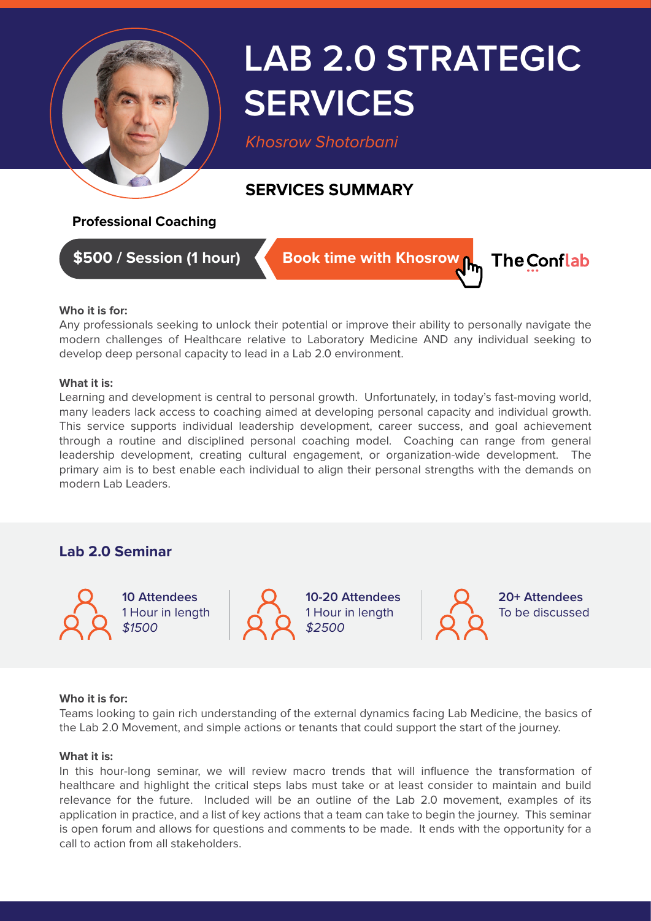

# **LAB 2.0 STRATEGIC SERVICES**

*Khosrow Shotorbani*

## **SERVICES SUMMARY**

### **Professional Coaching**

**\$500 / Session (1 hour)**

**Book time with Khosrow Rm** 



#### **Who it is for:**

Any professionals seeking to unlock their potential or improve their ability to personally navigate the modern challenges of Healthcare relative to Laboratory Medicine AND any individual seeking to develop deep personal capacity to lead in a Lab 2.0 environment.

#### **What it is:**

Learning and development is central to personal growth. Unfortunately, in today's fast-moving world, many leaders lack access to coaching aimed at developing personal capacity and individual growth. This service supports individual leadership development, career success, and goal achievement through a routine and disciplined personal coaching model. Coaching can range from general leadership development, creating cultural engagement, or organization-wide development. The primary aim is to best enable each individual to align their personal strengths with the demands on modern Lab Leaders.

## **Lab 2.0 Seminar**

**10 Attendees** 1 Hour in length *\$1500*

**10-20 Attendees** 1 Hour in length *\$2500*

**20+ Attendees** To be discussed

#### **Who it is for:**

Teams looking to gain rich understanding of the external dynamics facing Lab Medicine, the basics of the Lab 2.0 Movement, and simple actions or tenants that could support the start of the journey.

#### **What it is:**

In this hour-long seminar, we will review macro trends that will influence the transformation of healthcare and highlight the critical steps labs must take or at least consider to maintain and build relevance for the future. Included will be an outline of the Lab 2.0 movement, examples of its application in practice, and a list of key actions that a team can take to begin the journey. This seminar is open forum and allows for questions and comments to be made. It ends with the opportunity for a call to action from all stakeholders.